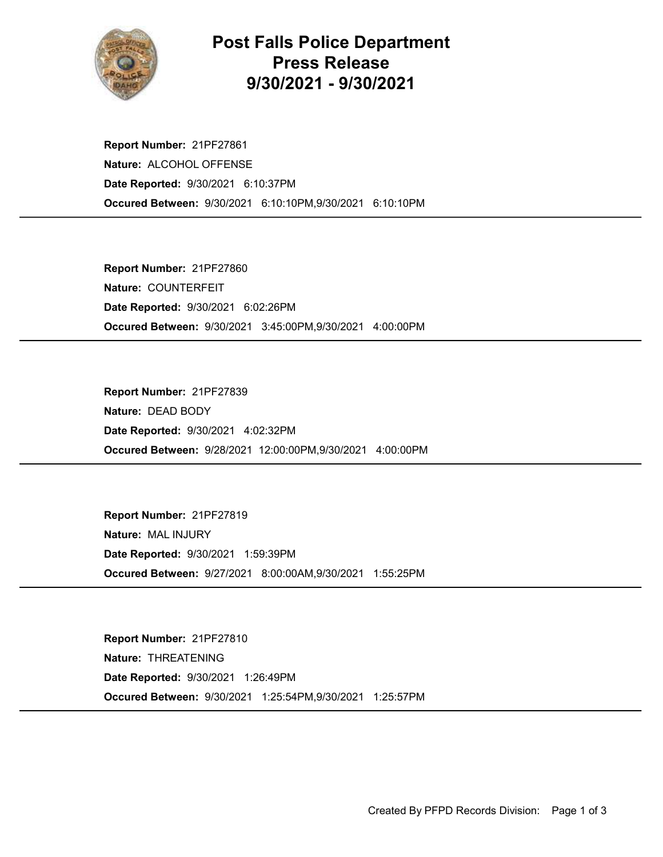

## Post Falls Police Department Press Release 9/30/2021 - 9/30/2021

Occured Between: 9/30/2021 6:10:10PM,9/30/2021 6:10:10PM Report Number: 21PF27861 Nature: ALCOHOL OFFENSE Date Reported: 9/30/2021 6:10:37PM

Occured Between: 9/30/2021 3:45:00PM,9/30/2021 4:00:00PM Report Number: 21PF27860 Nature: COUNTERFEIT Date Reported: 9/30/2021 6:02:26PM

Occured Between: 9/28/2021 12:00:00PM,9/30/2021 4:00:00PM Report Number: 21PF27839 Nature: DEAD BODY Date Reported: 9/30/2021 4:02:32PM

Occured Between: 9/27/2021 8:00:00AM,9/30/2021 1:55:25PM Report Number: 21PF27819 Nature: MAL INJURY Date Reported: 9/30/2021 1:59:39PM

Occured Between: 9/30/2021 1:25:54PM,9/30/2021 1:25:57PM Report Number: 21PF27810 Nature: THREATENING Date Reported: 9/30/2021 1:26:49PM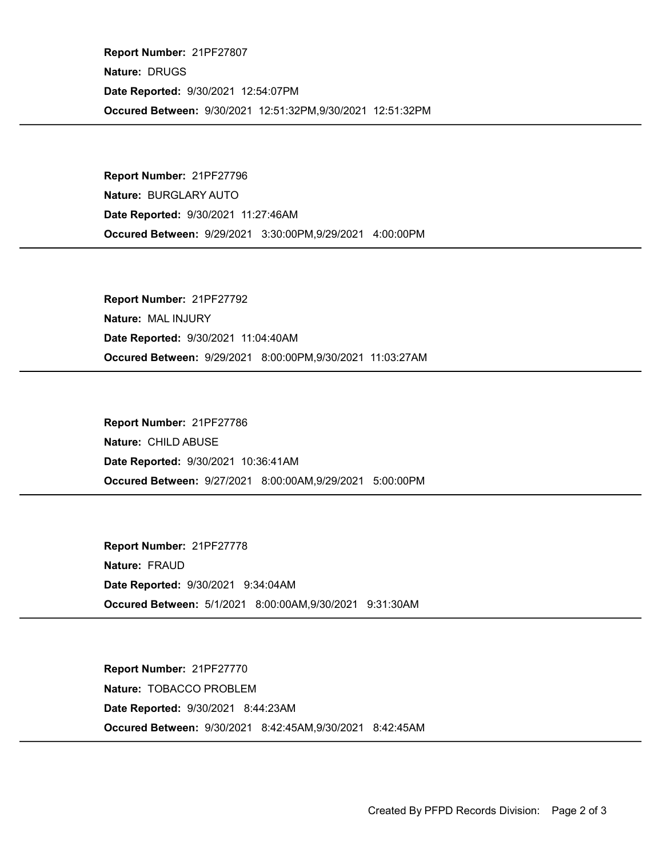Occured Between: 9/30/2021 12:51:32PM,9/30/2021 12:51:32PM Report Number: 21PF27807 Nature: DRUGS Date Reported: 9/30/2021 12:54:07PM

Occured Between: 9/29/2021 3:30:00PM,9/29/2021 4:00:00PM Report Number: 21PF27796 Nature: BURGLARY AUTO Date Reported: 9/30/2021 11:27:46AM

Occured Between: 9/29/2021 8:00:00PM,9/30/2021 11:03:27AM Report Number: 21PF27792 Nature: MAL INJURY Date Reported: 9/30/2021 11:04:40AM

Occured Between: 9/27/2021 8:00:00AM,9/29/2021 5:00:00PM Report Number: 21PF27786 Nature: CHILD ABUSE Date Reported: 9/30/2021 10:36:41AM

Occured Between: 5/1/2021 8:00:00AM,9/30/2021 9:31:30AM Report Number: 21PF27778 Nature: FRAUD Date Reported: 9/30/2021 9:34:04AM

Occured Between: 9/30/2021 8:42:45AM,9/30/2021 8:42:45AM Report Number: 21PF27770 Nature: TOBACCO PROBLEM Date Reported: 9/30/2021 8:44:23AM